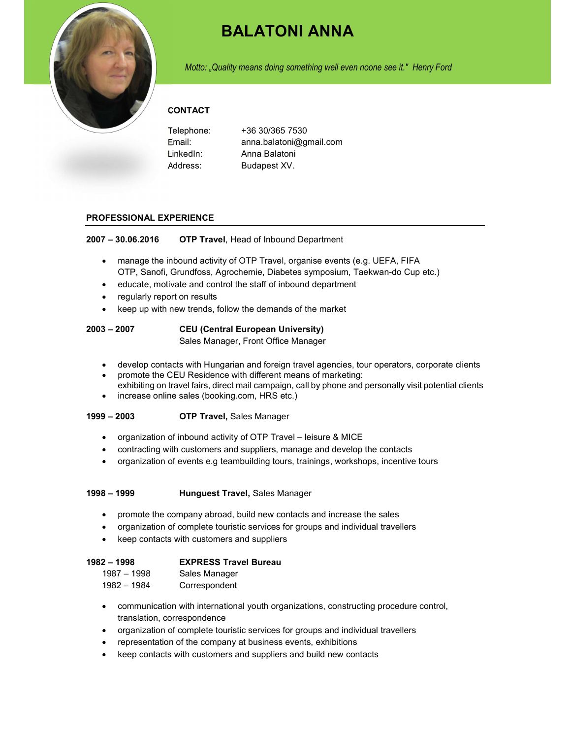

# BALATONI ANNA

Motto: "Quality means doing something well even noone see it." Henry Ford

## **CONTACT**

| Telephone: | +36 30/365 7530         |
|------------|-------------------------|
| Email:     | anna.balatoni@gmail.com |
| LinkedIn:  | Anna Balatoni           |
| Address:   | Budapest XV.            |

#### PROFESSIONAL EXPERIENCE

2007 – 30.06.2016 OTP Travel, Head of Inbound Department

- manage the inbound activity of OTP Travel, organise events (e.g. UEFA, FIFA OTP, Sanofi, Grundfoss, Agrochemie, Diabetes symposium, Taekwan-do Cup etc.)
- educate, motivate and control the staff of inbound department
- regularly report on results
- keep up with new trends, follow the demands of the market

### 2003 – 2007 CEU (Central European University)

Sales Manager, Front Office Manager

- develop contacts with Hungarian and foreign travel agencies, tour operators, corporate clients
- promote the CEU Residence with different means of marketing: exhibiting on travel fairs, direct mail campaign, call by phone and personally visit potential clients
- increase online sales (booking.com, HRS etc.)

#### 1999 – 2003 OTP Travel, Sales Manager

- organization of inbound activity of OTP Travel leisure & MICE
- contracting with customers and suppliers, manage and develop the contacts
- organization of events e.g teambuilding tours, trainings, workshops, incentive tours

#### 1998 – 1999 Hunguest Travel, Sales Manager

- promote the company abroad, build new contacts and increase the sales
- organization of complete touristic services for groups and individual travellers
- keep contacts with customers and suppliers

| 1982 – 1998   | <b>EXPRESS Travel Bureau</b> |
|---------------|------------------------------|
| $1987 - 1998$ | Sales Manager                |
| 1982 – 1984   | Correspondent                |

- communication with international youth organizations, constructing procedure control, translation, correspondence
- organization of complete touristic services for groups and individual travellers
- representation of the company at business events, exhibitions
- keep contacts with customers and suppliers and build new contacts